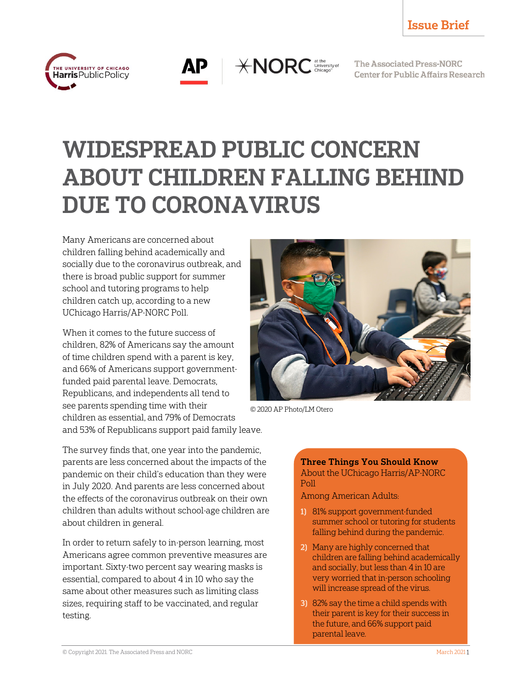



 $*NORC$  dithe University of

The Associated Press-NORC **Center for Public Affairs Research** 

# WIDESPREAD PUBLIC CONCERN ABOUT CHILDREN FALLING BEHIND DUE TO CORONAVIRUS

Many Americans are concerned about children falling behind academically and socially due to the coronavirus outbreak, and there is broad public support for summer school and tutoring programs to help children catch up, according to a new UChicago Harris/AP-NORC Poll.

When it comes to the future success of children, 82% of Americans say the amount of time children spend with a parent is key, and 66% of Americans support governmentfunded paid parental leave. Democrats, Republicans, and independents all tend to see parents spending time with their children as essential, and 79% of Democrats and 53% of Republicans support paid family leave.

The survey finds that, one year into the pandemic, parents are less concerned about the impacts of the pandemic on their child's education than they were in July 2020. And parents are less concerned about the effects of the coronavirus outbreak on their own children than adults without school-age children are about children in general.

In order to return safely to in-person learning, most Americans agree common preventive measures are important. Sixty-two percent say wearing masks is essential, compared to about 4 in 10 who say the same about other measures such as limiting class sizes, requiring staff to be vaccinated, and regular testing.



© 2020 AP Photo/LM Otero

#### Three Things You Should Know About the UChicago Harris/AP-NORC Poll

Among American Adults:

- 1) 81% support government-funded summer school or tutoring for students falling behind during the pandemic.
- 2) Many are highly concerned that children are falling behind academically and socially, but less than 4 in 10 are very worried that in-person schooling will increase spread of the virus.
- 3) 82% say the time a child spends with their parent is key for their success in the future, and 66% support paid parental leave.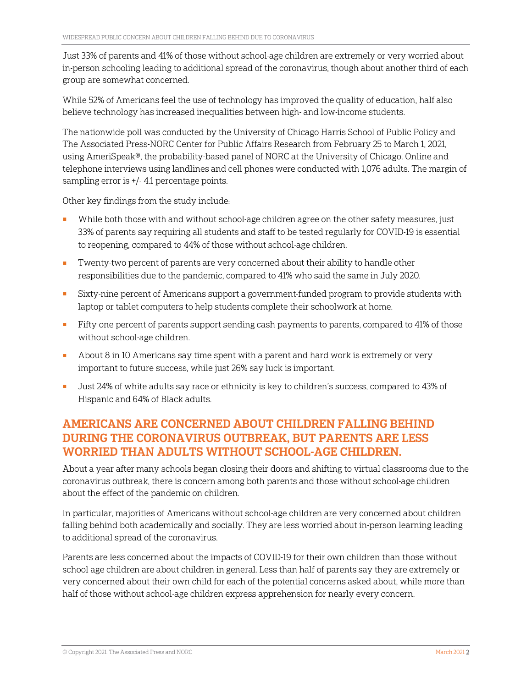Just 33% of parents and 41% of those without school-age children are extremely or very worried about in-person schooling leading to additional spread of the coronavirus, though about another third of each group are somewhat concerned.

While 52% of Americans feel the use of technology has improved the quality of education, half also believe technology has increased inequalities between high- and low-income students.

The nationwide poll was conducted by the University of Chicago Harris School of Public Policy and The Associated Press-NORC Center for Public Affairs Research from February 25 to March 1, 2021, using AmeriSpeak®, the probability-based panel of NORC at the University of Chicago. Online and telephone interviews using landlines and cell phones were conducted with 1,076 adults. The margin of sampling error is +/- 4.1 percentage points.

Other key findings from the study include:

- While both those with and without school-age children agree on the other safety measures, just 33% of parents say requiring all students and staff to be tested regularly for COVID-19 is essential to reopening, compared to 44% of those without school-age children.
- Twenty-two percent of parents are very concerned about their ability to handle other responsibilities due to the pandemic, compared to 41% who said the same in July 2020.
- Sixty-nine percent of Americans support a government-funded program to provide students with laptop or tablet computers to help students complete their schoolwork at home.
- Fifty-one percent of parents support sending cash payments to parents, compared to 41% of those without school-age children.
- About 8 in 10 Americans say time spent with a parent and hard work is extremely or very important to future success, while just 26% say luck is important.
- Just 24% of white adults say race or ethnicity is key to children's success, compared to 43% of Hispanic and 64% of Black adults.

#### AMERICANS ARE CONCERNED ABOUT CHILDREN FALLING BEHIND DURING THE CORONAVIRUS OUTBREAK, BUT PARENTS ARE LESS WORRIED THAN ADULTS WITHOUT SCHOOL-AGE CHILDREN.

About a year after many schools began closing their doors and shifting to virtual classrooms due to the coronavirus outbreak, there is concern among both parents and those without school-age children about the effect of the pandemic on children.

In particular, majorities of Americans without school-age children are very concerned about children falling behind both academically and socially. They are less worried about in-person learning leading to additional spread of the coronavirus.

Parents are less concerned about the impacts of COVID-19 for their own children than those without school-age children are about children in general. Less than half of parents say they are extremely or very concerned about their own child for each of the potential concerns asked about, while more than half of those without school-age children express apprehension for nearly every concern.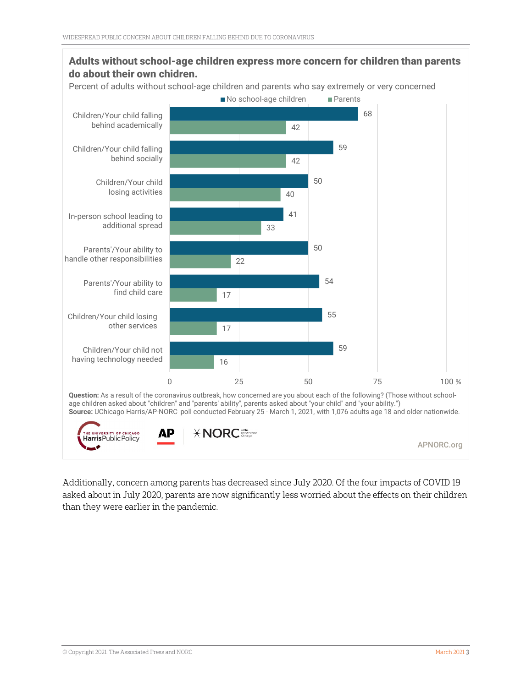

Additionally, concern among parents has decreased since July 2020. Of the four impacts of COVID-19 asked about in July 2020, parents are now significantly less worried about the effects on their children than they were earlier in the pandemic.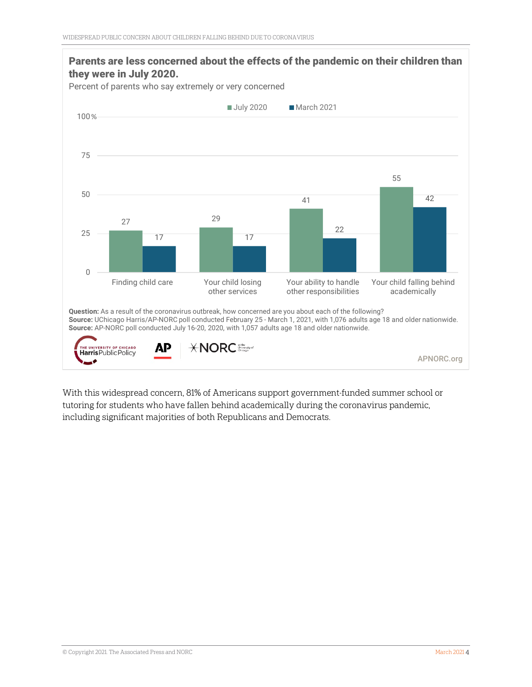

With this widespread concern, 81% of Americans support government-funded summer school or tutoring for students who have fallen behind academically during the coronavirus pandemic, including significant majorities of both Republicans and Democrats.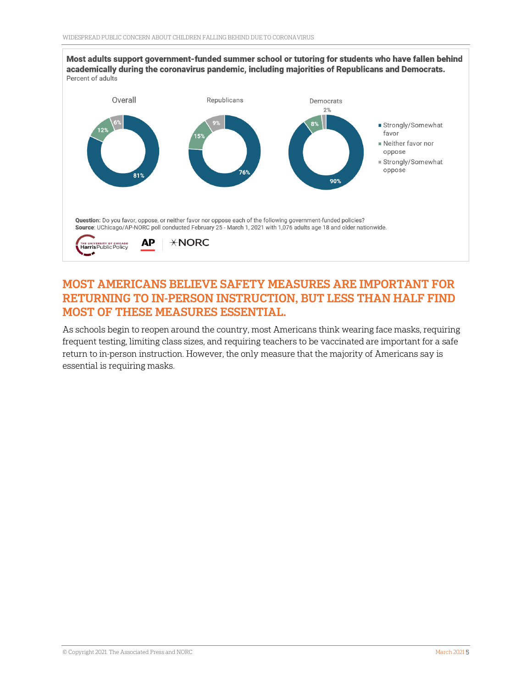

#### MOST AMERICANS BELIEVE SAFETY MEASURES ARE IMPORTANT FOR RETURNING TO IN-PERSON INSTRUCTION, BUT LESS THAN HALF FIND MOST OF THESE MEASURES ESSENTIAL.

As schools begin to reopen around the country, most Americans think wearing face masks, requiring frequent testing, limiting class sizes, and requiring teachers to be vaccinated are important for a safe return to in-person instruction. However, the only measure that the majority of Americans say is essential is requiring masks.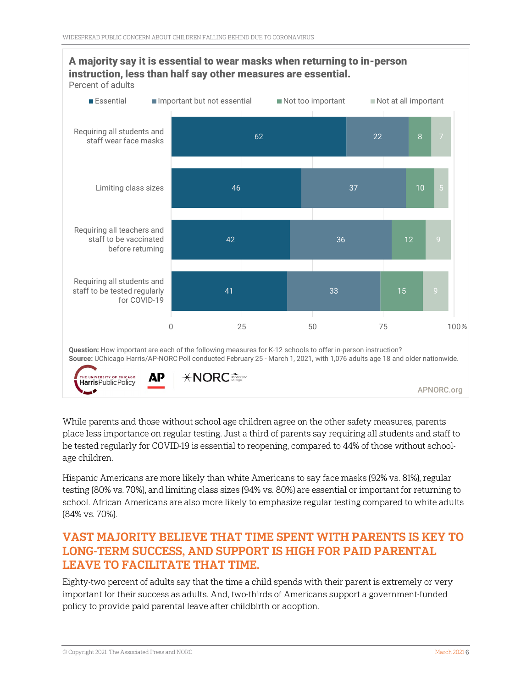

#### A majority say it is essential to wear masks when returning to in-person instruction, less than half say other measures are essential.

While parents and those without school-age children agree on the other safety measures, parents place less importance on regular testing. Just a third of parents say requiring all students and staff to be tested regularly for COVID-19 is essential to reopening, compared to 44% of those without schoolage children.

Hispanic Americans are more likely than white Americans to say face masks (92% vs. 81%), regular testing (80% vs. 70%), and limiting class sizes (94% vs. 80%) are essential or important for returning to school. African Americans are also more likely to emphasize regular testing compared to white adults (84% vs. 70%).

### VAST MAJORITY BELIEVE THAT TIME SPENT WITH PARENTS IS KEY TO LONG-TERM SUCCESS, AND SUPPORT IS HIGH FOR PAID PARENTAL LEAVE TO FACILITATE THAT TIME.

Eighty-two percent of adults say that the time a child spends with their parent is extremely or very important for their success as adults. And, two-thirds of Americans support a government-funded policy to provide paid parental leave after childbirth or adoption.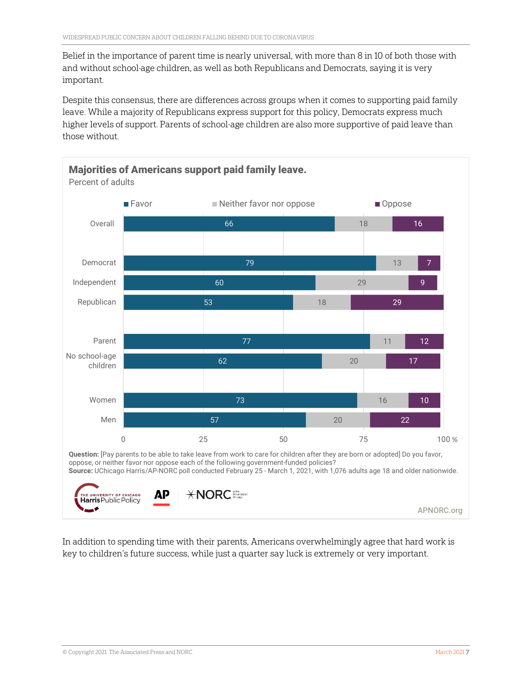Belief in the importance of parent time is nearly universal, with more than 8 in 10 of both those with and without school-age children, as well as both Republicans and Democrats, saying it is very important.

Despite this consensus, there are differences across groups when it comes to supporting paid family leave. While a majority of Republicans express support for this policy, Democrats express much higher levels of support. Parents of school-age children are also more supportive of paid leave than those without.



In addition to spending time with their parents, Americans overwhelmingly agree that hard work is key to children's future success, while just a quarter say luck is extremely or very important.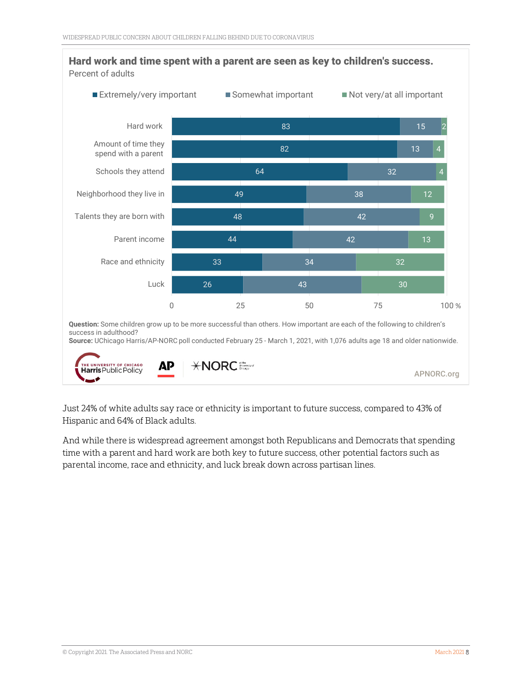

Just 24% of white adults say race or ethnicity is important to future success, compared to 43% of Hispanic and 64% of Black adults.

And while there is widespread agreement amongst both Republicans and Democrats that spending time with a parent and hard work are both key to future success, other potential factors such as parental income, race and ethnicity, and luck break down across partisan lines.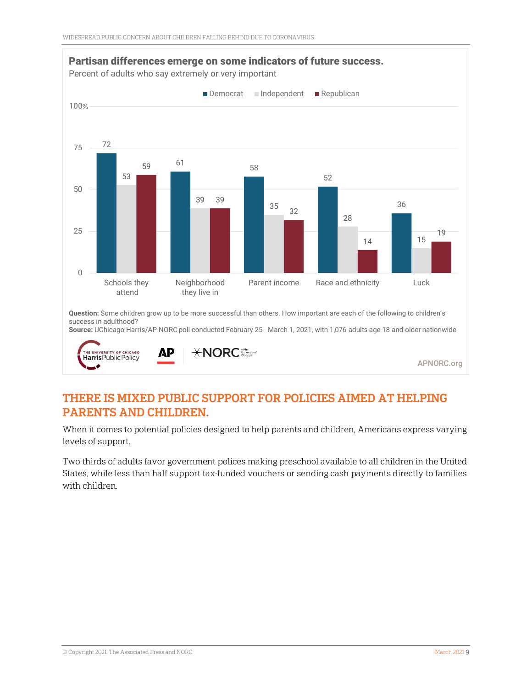

#### THERE IS MIXED PUBLIC SUPPORT FOR POLICIES AIMED AT HELPING PARENTS AND CHILDREN.

When it comes to potential policies designed to help parents and children, Americans express varying levels of support.

Two-thirds of adults favor government polices making preschool available to all children in the United States, while less than half support tax-funded vouchers or sending cash payments directly to families with children.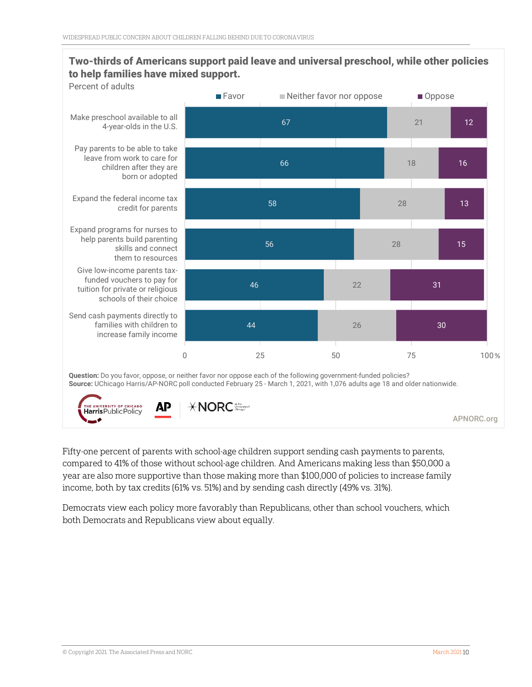#### Two-thirds of Americans support paid leave and universal preschool, while other policies to help families have mixed support.



Fifty-one percent of parents with school-age children support sending cash payments to parents, compared to 41% of those without school-age children. And Americans making less than \$50,000 a year are also more supportive than those making more than \$100,000 of policies to increase family income, both by tax credits (61% vs. 51%) and by sending cash directly (49% vs. 31%).

Democrats view each policy more favorably than Republicans, other than school vouchers, which both Democrats and Republicans view about equally.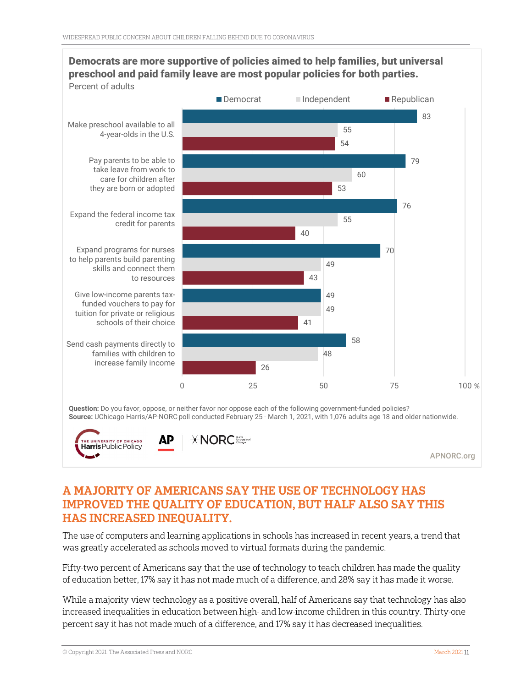

## Democrats are more supportive of policies aimed to help families, but universal preschool and paid family leave are most popular policies for both parties.

#### A MAJORITY OF AMERICANS SAY THE USE OF TECHNOLOGY HAS IMPROVED THE QUALITY OF EDUCATION, BUT HALF ALSO SAY THIS HAS INCREASED INEQUALITY.

The use of computers and learning applications in schools has increased in recent years, a trend that was greatly accelerated as schools moved to virtual formats during the pandemic.

Fifty-two percent of Americans say that the use of technology to teach children has made the quality of education better, 17% say it has not made much of a difference, and 28% say it has made it worse.

While a majority view technology as a positive overall, half of Americans say that technology has also increased inequalities in education between high- and low-income children in this country. Thirty-one percent say it has not made much of a difference, and 17% say it has decreased inequalities.

**E UNIVERSITY OF CHICAGO Harris** Public Policy

APNORC.org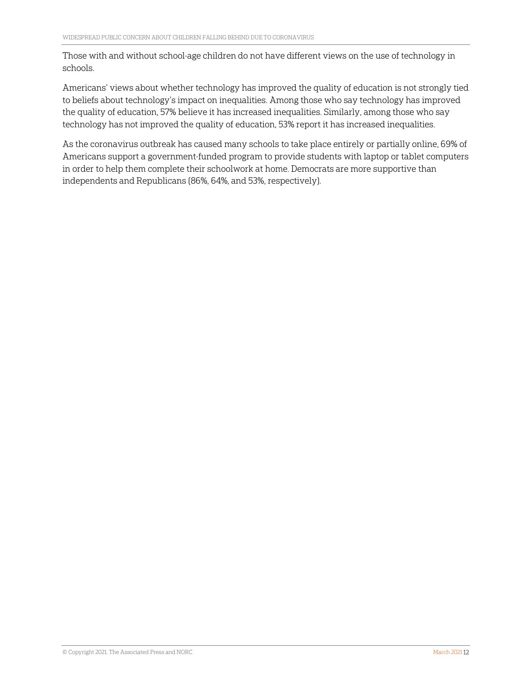Those with and without school-age children do not have different views on the use of technology in schools.

Americans' views about whether technology has improved the quality of education is not strongly tied to beliefs about technology's impact on inequalities. Among those who say technology has improved the quality of education, 57% believe it has increased inequalities. Similarly, among those who say technology has not improved the quality of education, 53% report it has increased inequalities.

As the coronavirus outbreak has caused many schools to take place entirely or partially online, 69% of Americans support a government-funded program to provide students with laptop or tablet computers in order to help them complete their schoolwork at home. Democrats are more supportive than independents and Republicans (86%, 64%, and 53%, respectively).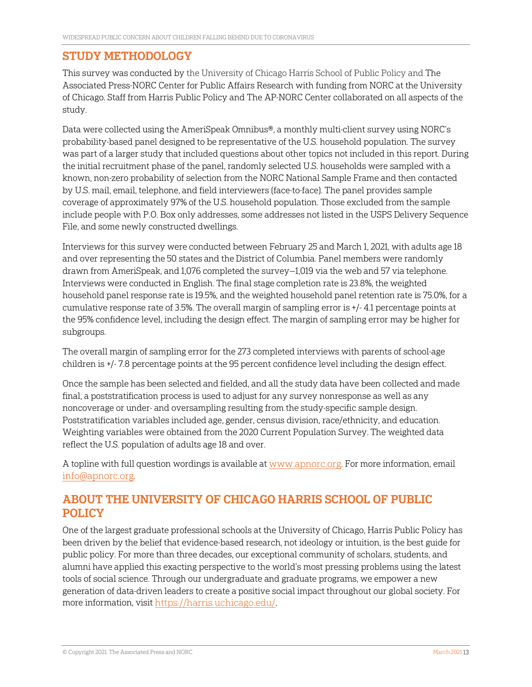#### STUDY METHODOLOGY

This survey was conducted by the University of Chicago Harris School of Public Policy and The Associated Press-NORC Center for Public Affairs Research with funding from NORC at the University of Chicago. Staff from Harris Public Policy and The AP-NORC Center collaborated on all aspects of the study.

Data were collected using the AmeriSpeak Omnibus®, a monthly multi-client survey using NORC's probability-based panel designed to be representative of the U.S. household population. The survey was part of a larger study that included questions about other topics not included in this report. During the initial recruitment phase of the panel, randomly selected U.S. households were sampled with a known, non-zero probability of selection from the NORC National Sample Frame and then contacted by U.S. mail, email, telephone, and field interviewers (face-to-face). The panel provides sample coverage of approximately 97% of the U.S. household population. Those excluded from the sample include people with P.O. Box only addresses, some addresses not listed in the USPS Delivery Sequence File, and some newly constructed dwellings.

Interviews for this survey were conducted between February 25 and March 1, 2021, with adults age 18 and over representing the 50 states and the District of Columbia. Panel members were randomly drawn from AmeriSpeak, and 1,076 completed the survey—1,019 via the web and 57 via telephone. Interviews were conducted in English. The final stage completion rate is 23.8%, the weighted household panel response rate is 19.5%, and the weighted household panel retention rate is 75.0%, for a cumulative response rate of 3.5%. The overall margin of sampling error is +/- 4.1 percentage points at the 95% confidence level, including the design effect. The margin of sampling error may be higher for subgroups.

The overall margin of sampling error for the 273 completed interviews with parents of school-age children is +/- 7.8 percentage points at the 95 percent confidence level including the design effect.

Once the sample has been selected and fielded, and all the study data have been collected and made final, a poststratification process is used to adjust for any survey nonresponse as well as any noncoverage or under- and oversampling resulting from the study-specific sample design. Poststratification variables included age, gender, census division, race/ethnicity, and education. Weighting variables were obtained from the 2020 Current Population Survey. The weighted data reflect the U.S. population of adults age 18 and over.

A topline with full question wordings is available a[t www.apnorc.org.](http://www.apnorc.org/) For more information, email [info@apnorc.org.](mailto:info@apnorc.org)

#### ABOUT THE UNIVERSITY OF CHICAGO HARRIS SCHOOL OF PUBLIC POLICY

One of the largest graduate professional schools at the University of Chicago, Harris Public Policy has been driven by the belief that evidence-based research, not ideology or intuition, is the best guide for public policy. For more than three decades, our exceptional community of scholars, students, and alumni have applied this exacting perspective to the world's most pressing problems using the latest tools of social science. Through our undergraduate and graduate programs, we empower a new generation of data-driven leaders to create a positive social impact throughout our global society. For more information, visit [https://harris.uchicago.edu/.](https://harris.uchicago.edu/)